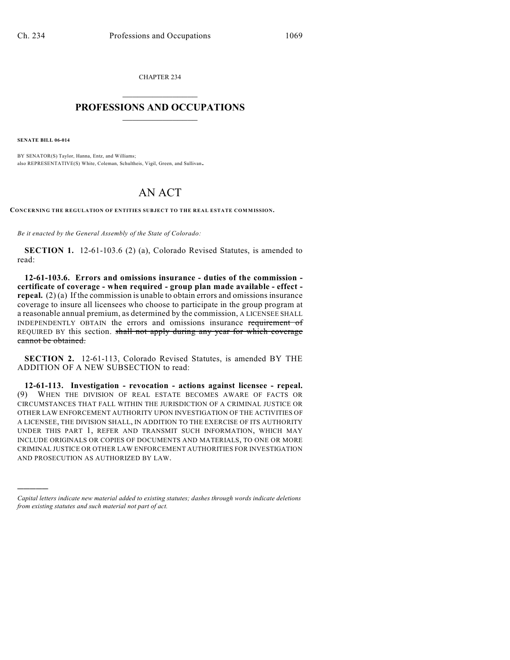CHAPTER 234  $\mathcal{L}_\text{max}$  . The set of the set of the set of the set of the set of the set of the set of the set of the set of the set of the set of the set of the set of the set of the set of the set of the set of the set of the set

## **PROFESSIONS AND OCCUPATIONS**  $\frac{1}{2}$  ,  $\frac{1}{2}$  ,  $\frac{1}{2}$  ,  $\frac{1}{2}$  ,  $\frac{1}{2}$  ,  $\frac{1}{2}$

**SENATE BILL 06-014**

)))))

BY SENATOR(S) Taylor, Hanna, Entz, and Williams; also REPRESENTATIVE(S) White, Coleman, Schultheis, Vigil, Green, and Sullivan.

## AN ACT

**CONCERNING THE REGULATION OF ENTITIES SUBJECT TO THE REAL ESTATE COMMISSION.**

*Be it enacted by the General Assembly of the State of Colorado:*

**SECTION 1.** 12-61-103.6 (2) (a), Colorado Revised Statutes, is amended to read:

**12-61-103.6. Errors and omissions insurance - duties of the commission certificate of coverage - when required - group plan made available - effect repeal.** (2) (a) If the commission is unable to obtain errors and omissions insurance coverage to insure all licensees who choose to participate in the group program at a reasonable annual premium, as determined by the commission, A LICENSEE SHALL INDEPENDENTLY OBTAIN the errors and omissions insurance requirement of REQUIRED BY this section. shall not apply during any year for which coverage cannot be obtained.

**SECTION 2.** 12-61-113, Colorado Revised Statutes, is amended BY THE ADDITION OF A NEW SUBSECTION to read:

**12-61-113. Investigation - revocation - actions against licensee - repeal.** (9) WHEN THE DIVISION OF REAL ESTATE BECOMES AWARE OF FACTS OR CIRCUMSTANCES THAT FALL WITHIN THE JURISDICTION OF A CRIMINAL JUSTICE OR OTHER LAW ENFORCEMENT AUTHORITY UPON INVESTIGATION OF THE ACTIVITIES OF A LICENSEE, THE DIVISION SHALL, IN ADDITION TO THE EXERCISE OF ITS AUTHORITY UNDER THIS PART 1, REFER AND TRANSMIT SUCH INFORMATION, WHICH MAY INCLUDE ORIGINALS OR COPIES OF DOCUMENTS AND MATERIALS, TO ONE OR MORE CRIMINAL JUSTICE OR OTHER LAW ENFORCEMENT AUTHORITIES FOR INVESTIGATION AND PROSECUTION AS AUTHORIZED BY LAW.

*Capital letters indicate new material added to existing statutes; dashes through words indicate deletions from existing statutes and such material not part of act.*